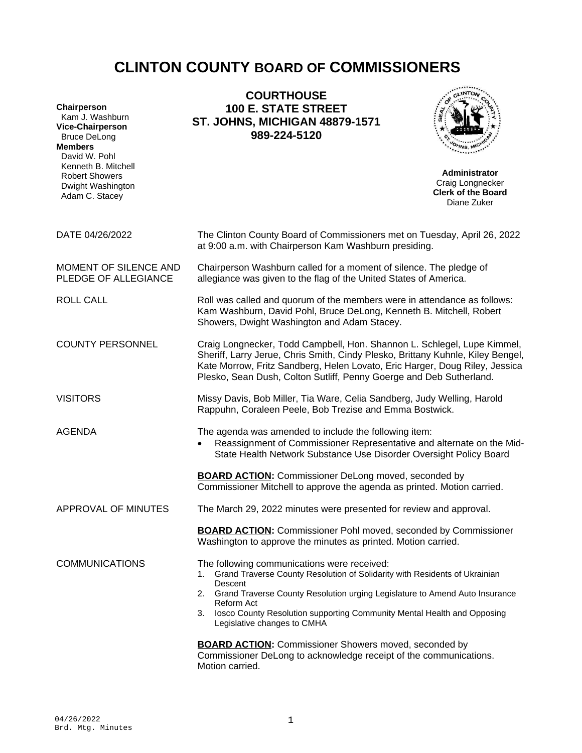# **CLINTON COUNTY BOARD OF COMMISSIONERS**

| Chairperson<br>Kam J. Washburn<br><b>Vice-Chairperson</b><br><b>Bruce DeLong</b><br><b>Members</b><br>David W. Pohl<br>Kenneth B. Mitchell<br><b>Robert Showers</b><br>Dwight Washington | <b>COURTHOUSE</b><br><b>100 E. STATE STREET</b><br><b>ST. JOHNS, MICHIGAN 48879-1571</b><br>989-224-5120                                                                                                                                                                                                                                             | <b>Administrator</b><br>Craig Longnecker |
|------------------------------------------------------------------------------------------------------------------------------------------------------------------------------------------|------------------------------------------------------------------------------------------------------------------------------------------------------------------------------------------------------------------------------------------------------------------------------------------------------------------------------------------------------|------------------------------------------|
| Adam C. Stacey                                                                                                                                                                           |                                                                                                                                                                                                                                                                                                                                                      | <b>Clerk of the Board</b><br>Diane Zuker |
| DATE 04/26/2022                                                                                                                                                                          | The Clinton County Board of Commissioners met on Tuesday, April 26, 2022<br>at 9:00 a.m. with Chairperson Kam Washburn presiding.                                                                                                                                                                                                                    |                                          |
| MOMENT OF SILENCE AND<br>PLEDGE OF ALLEGIANCE                                                                                                                                            | Chairperson Washburn called for a moment of silence. The pledge of<br>allegiance was given to the flag of the United States of America.                                                                                                                                                                                                              |                                          |
| <b>ROLL CALL</b>                                                                                                                                                                         | Roll was called and quorum of the members were in attendance as follows:<br>Kam Washburn, David Pohl, Bruce DeLong, Kenneth B. Mitchell, Robert<br>Showers, Dwight Washington and Adam Stacey.                                                                                                                                                       |                                          |
| <b>COUNTY PERSONNEL</b>                                                                                                                                                                  | Craig Longnecker, Todd Campbell, Hon. Shannon L. Schlegel, Lupe Kimmel,<br>Sheriff, Larry Jerue, Chris Smith, Cindy Plesko, Brittany Kuhnle, Kiley Bengel,<br>Kate Morrow, Fritz Sandberg, Helen Lovato, Eric Harger, Doug Riley, Jessica<br>Plesko, Sean Dush, Colton Sutliff, Penny Goerge and Deb Sutherland.                                     |                                          |
| <b>VISITORS</b>                                                                                                                                                                          | Missy Davis, Bob Miller, Tia Ware, Celia Sandberg, Judy Welling, Harold<br>Rappuhn, Coraleen Peele, Bob Trezise and Emma Bostwick.                                                                                                                                                                                                                   |                                          |
| <b>AGENDA</b>                                                                                                                                                                            | The agenda was amended to include the following item:<br>Reassignment of Commissioner Representative and alternate on the Mid-<br>State Health Network Substance Use Disorder Oversight Policy Board                                                                                                                                                 |                                          |
|                                                                                                                                                                                          | <b>BOARD ACTION:</b> Commissioner DeLong moved, seconded by<br>Commissioner Mitchell to approve the agenda as printed. Motion carried.                                                                                                                                                                                                               |                                          |
| APPROVAL OF MINUTES                                                                                                                                                                      | The March 29, 2022 minutes were presented for review and approval.                                                                                                                                                                                                                                                                                   |                                          |
|                                                                                                                                                                                          | <b>BOARD ACTION:</b> Commissioner Pohl moved, seconded by Commissioner<br>Washington to approve the minutes as printed. Motion carried.                                                                                                                                                                                                              |                                          |
| <b>COMMUNICATIONS</b>                                                                                                                                                                    | The following communications were received:<br>1. Grand Traverse County Resolution of Solidarity with Residents of Ukrainian<br>Descent<br>2. Grand Traverse County Resolution urging Legislature to Amend Auto Insurance<br>Reform Act<br>3. Iosco County Resolution supporting Community Mental Health and Opposing<br>Legislative changes to CMHA |                                          |
|                                                                                                                                                                                          | <b>BOARD ACTION:</b> Commissioner Showers moved, seconded by<br>Commissioner DeLong to acknowledge receipt of the communications.<br>Motion carried.                                                                                                                                                                                                 |                                          |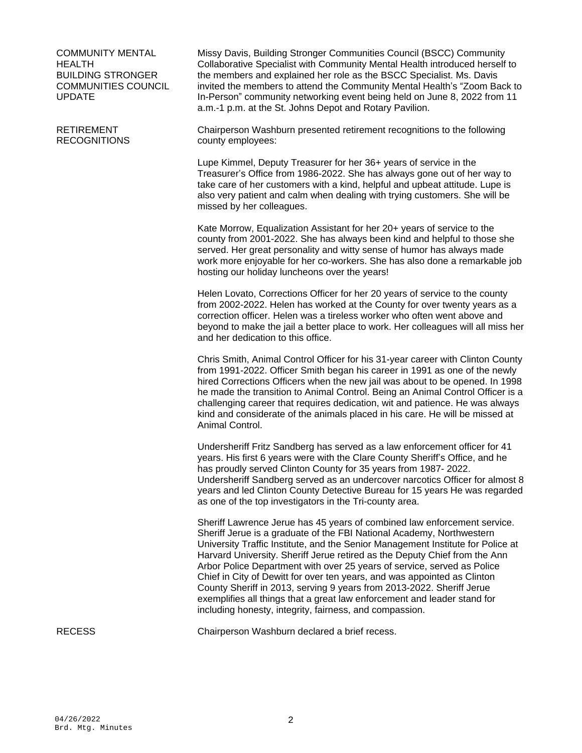COMMUNITY MENTAL HEALTH BUILDING STRONGER COMMUNITIES COUNCIL UPDATE

#### RETIREMENT RECOGNITIONS

Missy Davis, Building Stronger Communities Council (BSCC) Community Collaborative Specialist with Community Mental Health introduced herself to the members and explained her role as the BSCC Specialist. Ms. Davis invited the members to attend the Community Mental Health's "Zoom Back to In-Person" community networking event being held on June 8, 2022 from 11 a.m.-1 p.m. at the St. Johns Depot and Rotary Pavilion.

Chairperson Washburn presented retirement recognitions to the following county employees:

Lupe Kimmel, Deputy Treasurer for her 36+ years of service in the Treasurer's Office from 1986-2022. She has always gone out of her way to take care of her customers with a kind, helpful and upbeat attitude. Lupe is also very patient and calm when dealing with trying customers. She will be missed by her colleagues.

Kate Morrow, Equalization Assistant for her 20+ years of service to the county from 2001-2022. She has always been kind and helpful to those she served. Her great personality and witty sense of humor has always made work more enjoyable for her co-workers. She has also done a remarkable job hosting our holiday luncheons over the years!

Helen Lovato, Corrections Officer for her 20 years of service to the county from 2002-2022. Helen has worked at the County for over twenty years as a correction officer. Helen was a tireless worker who often went above and beyond to make the jail a better place to work. Her colleagues will all miss her and her dedication to this office.

Chris Smith, Animal Control Officer for his 31-year career with Clinton County from 1991-2022. Officer Smith began his career in 1991 as one of the newly hired Corrections Officers when the new jail was about to be opened. In 1998 he made the transition to Animal Control. Being an Animal Control Officer is a challenging career that requires dedication, wit and patience. He was always kind and considerate of the animals placed in his care. He will be missed at Animal Control.

Undersheriff Fritz Sandberg has served as a law enforcement officer for 41 years. His first 6 years were with the Clare County Sheriff's Office, and he has proudly served Clinton County for 35 years from 1987- 2022. Undersheriff Sandberg served as an undercover narcotics Officer for almost 8 years and led Clinton County Detective Bureau for 15 years He was regarded as one of the top investigators in the Tri-county area.

Sheriff Lawrence Jerue has 45 years of combined law enforcement service. Sheriff Jerue is a graduate of the FBI National Academy, Northwestern University Traffic Institute, and the Senior Management Institute for Police at Harvard University. Sheriff Jerue retired as the Deputy Chief from the Ann Arbor Police Department with over 25 years of service, served as Police Chief in City of Dewitt for over ten years, and was appointed as Clinton County Sheriff in 2013, serving 9 years from 2013-2022. Sheriff Jerue exemplifies all things that a great law enforcement and leader stand for including honesty, integrity, fairness, and compassion.

RECESS Chairperson Washburn declared a brief recess.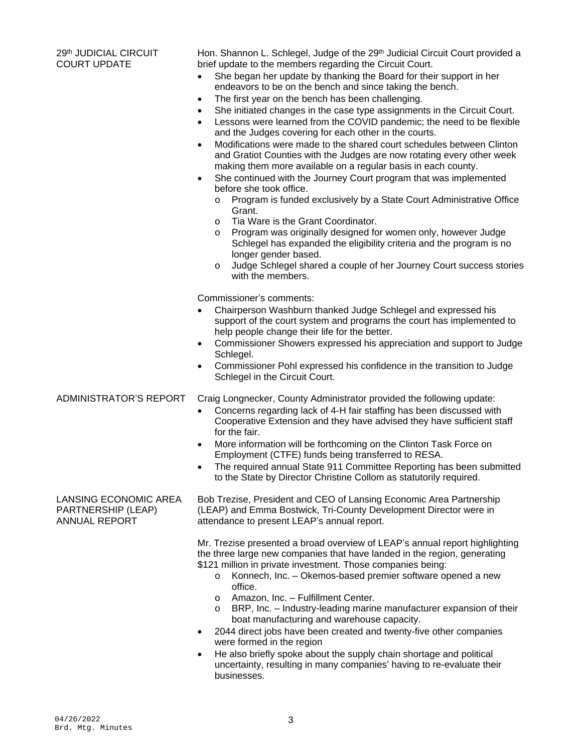#### 29th JUDICIAL CIRCUIT COURT UPDATE

Hon. Shannon L. Schlegel, Judge of the 29<sup>th</sup> Judicial Circuit Court provided a brief update to the members regarding the Circuit Court.

- She began her update by thanking the Board for their support in her endeavors to be on the bench and since taking the bench.
- The first year on the bench has been challenging.
- She initiated changes in the case type assignments in the Circuit Court.
- Lessons were learned from the COVID pandemic; the need to be flexible and the Judges covering for each other in the courts.
- Modifications were made to the shared court schedules between Clinton and Gratiot Counties with the Judges are now rotating every other week making them more available on a regular basis in each county.
- She continued with the Journey Court program that was implemented before she took office.
	- o Program is funded exclusively by a State Court Administrative Office Grant.
	- o Tia Ware is the Grant Coordinator.
	- o Program was originally designed for women only, however Judge Schlegel has expanded the eligibility criteria and the program is no longer gender based.
	- o Judge Schlegel shared a couple of her Journey Court success stories with the members.

Commissioner's comments:

- Chairperson Washburn thanked Judge Schlegel and expressed his support of the court system and programs the court has implemented to help people change their life for the better.
- Commissioner Showers expressed his appreciation and support to Judge Schlegel.
- Commissioner Pohl expressed his confidence in the transition to Judge Schlegel in the Circuit Court.

ADMINISTRATOR'S REPORT Craig Longnecker, County Administrator provided the following update:

- Concerns regarding lack of 4-H fair staffing has been discussed with Cooperative Extension and they have advised they have sufficient staff for the fair.
- More information will be forthcoming on the Clinton Task Force on Employment (CTFE) funds being transferred to RESA.
- The required annual State 911 Committee Reporting has been submitted to the State by Director Christine Collom as statutorily required.

LANSING ECONOMIC AREA PARTNERSHIP (LEAP) ANNUAL REPORT

Bob Trezise, President and CEO of Lansing Economic Area Partnership (LEAP) and Emma Bostwick, Tri-County Development Director were in attendance to present LEAP's annual report.

Mr. Trezise presented a broad overview of LEAP's annual report highlighting the three large new companies that have landed in the region, generating \$121 million in private investment. Those companies being:

- o Konnech, Inc. Okemos-based premier software opened a new office.
- o Amazon, Inc. Fulfillment Center.
- o BRP, Inc. Industry-leading marine manufacturer expansion of their boat manufacturing and warehouse capacity.
- 2044 direct jobs have been created and twenty-five other companies were formed in the region
- He also briefly spoke about the supply chain shortage and political uncertainty, resulting in many companies' having to re-evaluate their businesses.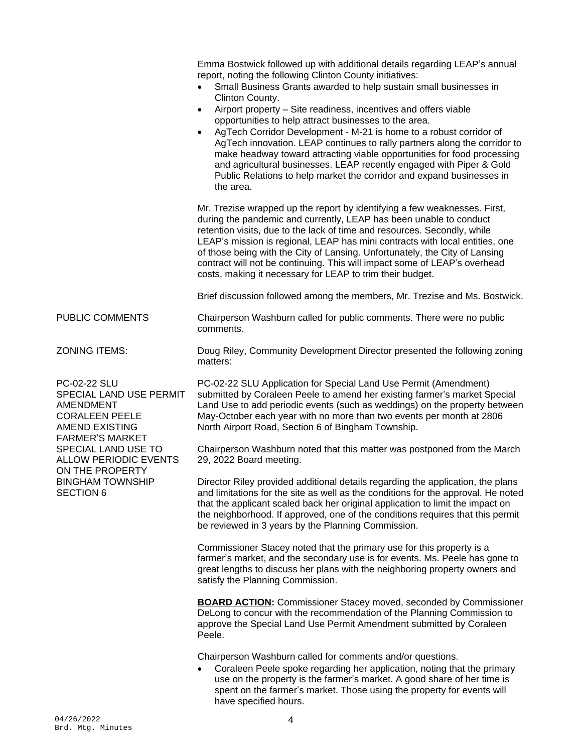04/26/2022 4 Emma Bostwick followed up with additional details regarding LEAP's annual report, noting the following Clinton County initiatives: Small Business Grants awarded to help sustain small businesses in Clinton County. Airport property – Site readiness, incentives and offers viable opportunities to help attract businesses to the area. AgTech Corridor Development - M-21 is home to a robust corridor of AgTech innovation. LEAP continues to rally partners along the corridor to make headway toward attracting viable opportunities for food processing and agricultural businesses. LEAP recently engaged with Piper & Gold Public Relations to help market the corridor and expand businesses in the area. Mr. Trezise wrapped up the report by identifying a few weaknesses. First, during the pandemic and currently, LEAP has been unable to conduct retention visits, due to the lack of time and resources. Secondly, while LEAP's mission is regional, LEAP has mini contracts with local entities, one of those being with the City of Lansing. Unfortunately, the City of Lansing contract will not be continuing. This will impact some of LEAP's overhead costs, making it necessary for LEAP to trim their budget. Brief discussion followed among the members, Mr. Trezise and Ms. Bostwick. PUBLIC COMMENTS Chairperson Washburn called for public comments. There were no public comments. ZONING ITEMS: Doug Riley, Community Development Director presented the following zoning matters: PC-02-22 SLU SPECIAL LAND USE PERMIT AMENDMENT CORALEEN PEELE AMEND EXISTING FARMER'S MARKET SPECIAL LAND USE TO ALLOW PERIODIC EVENTS ON THE PROPERTY BINGHAM TOWNSHIP SECTION 6 PC-02-22 SLU Application for Special Land Use Permit (Amendment) submitted by Coraleen Peele to amend her existing farmer's market Special Land Use to add periodic events (such as weddings) on the property between May-October each year with no more than two events per month at 2806 North Airport Road, Section 6 of Bingham Township. Chairperson Washburn noted that this matter was postponed from the March 29, 2022 Board meeting. Director Riley provided additional details regarding the application, the plans and limitations for the site as well as the conditions for the approval. He noted that the applicant scaled back her original application to limit the impact on the neighborhood. If approved, one of the conditions requires that this permit be reviewed in 3 years by the Planning Commission. Commissioner Stacey noted that the primary use for this property is a farmer's market, and the secondary use is for events. Ms. Peele has gone to great lengths to discuss her plans with the neighboring property owners and satisfy the Planning Commission. **BOARD ACTION:** Commissioner Stacey moved, seconded by Commissioner DeLong to concur with the recommendation of the Planning Commission to approve the Special Land Use Permit Amendment submitted by Coraleen Peele. Chairperson Washburn called for comments and/or questions. Coraleen Peele spoke regarding her application, noting that the primary use on the property is the farmer's market. A good share of her time is spent on the farmer's market. Those using the property for events will have specified hours.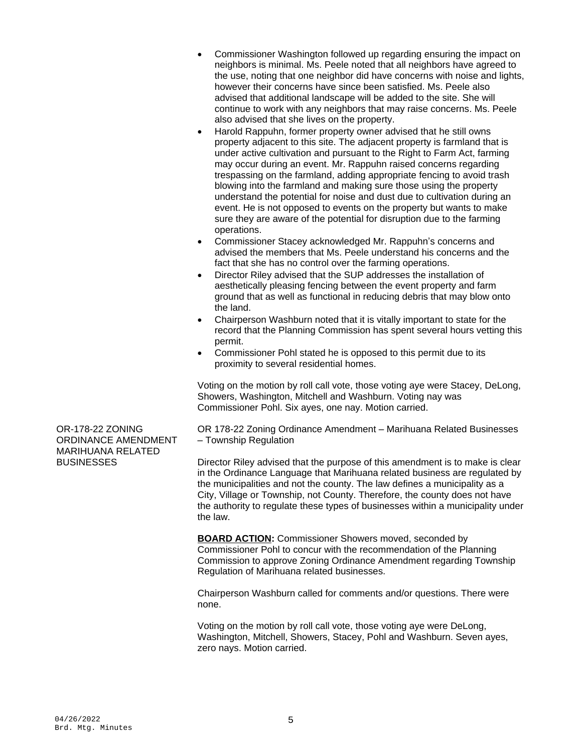- Commissioner Washington followed up regarding ensuring the impact on neighbors is minimal. Ms. Peele noted that all neighbors have agreed to the use, noting that one neighbor did have concerns with noise and lights, however their concerns have since been satisfied. Ms. Peele also advised that additional landscape will be added to the site. She will continue to work with any neighbors that may raise concerns. Ms. Peele also advised that she lives on the property.
- Harold Rappuhn, former property owner advised that he still owns property adjacent to this site. The adjacent property is farmland that is under active cultivation and pursuant to the Right to Farm Act, farming may occur during an event. Mr. Rappuhn raised concerns regarding trespassing on the farmland, adding appropriate fencing to avoid trash blowing into the farmland and making sure those using the property understand the potential for noise and dust due to cultivation during an event. He is not opposed to events on the property but wants to make sure they are aware of the potential for disruption due to the farming operations.
- Commissioner Stacey acknowledged Mr. Rappuhn's concerns and advised the members that Ms. Peele understand his concerns and the fact that she has no control over the farming operations.
- Director Riley advised that the SUP addresses the installation of aesthetically pleasing fencing between the event property and farm ground that as well as functional in reducing debris that may blow onto the land.
- Chairperson Washburn noted that it is vitally important to state for the record that the Planning Commission has spent several hours vetting this permit.
- Commissioner Pohl stated he is opposed to this permit due to its proximity to several residential homes.

Voting on the motion by roll call vote, those voting aye were Stacey, DeLong, Showers, Washington, Mitchell and Washburn. Voting nay was Commissioner Pohl. Six ayes, one nay. Motion carried.

OR 178-22 Zoning Ordinance Amendment – Marihuana Related Businesses – Township Regulation

Director Riley advised that the purpose of this amendment is to make is clear in the Ordinance Language that Marihuana related business are regulated by the municipalities and not the county. The law defines a municipality as a City, Village or Township, not County. Therefore, the county does not have the authority to regulate these types of businesses within a municipality under the law.

**BOARD ACTION:** Commissioner Showers moved, seconded by Commissioner Pohl to concur with the recommendation of the Planning Commission to approve Zoning Ordinance Amendment regarding Township Regulation of Marihuana related businesses.

Chairperson Washburn called for comments and/or questions. There were none.

Voting on the motion by roll call vote, those voting aye were DeLong, Washington, Mitchell, Showers, Stacey, Pohl and Washburn. Seven ayes, zero nays. Motion carried.

OR-178-22 ZONING ORDINANCE AMENDMENT MARIHUANA RELATED **BUSINESSES**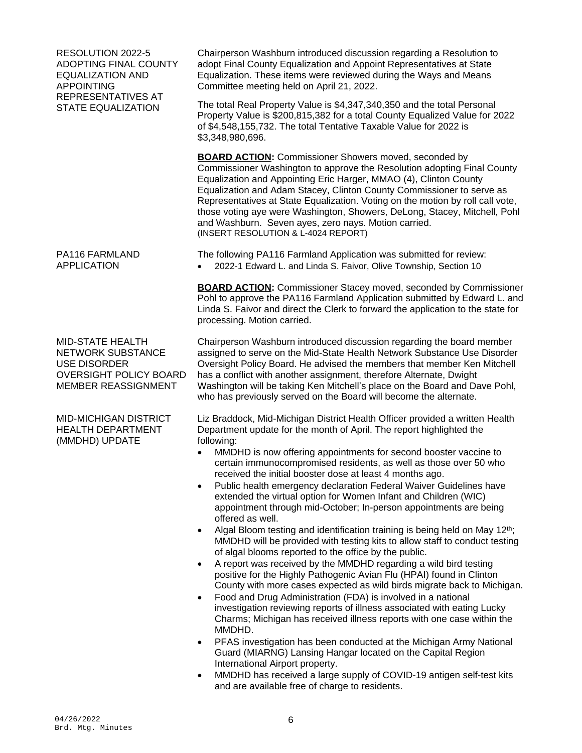RESOLUTION 2022-5 ADOPTING FINAL COUNTY EQUALIZATION AND APPOINTING REPRESENTATIVES AT STATE EQUALIZATION

PA116 FARMLAND APPLICATION

MID-STATE HEALTH NETWORK SUBSTANCE USE DISORDER OVERSIGHT POLICY BOARD MEMBER REASSIGNMENT

MID-MICHIGAN DISTRICT HEALTH DEPARTMENT (MMDHD) UPDATE

Chairperson Washburn introduced discussion regarding a Resolution to adopt Final County Equalization and Appoint Representatives at State Equalization. These items were reviewed during the Ways and Means Committee meeting held on April 21, 2022.

The total Real Property Value is \$4,347,340,350 and the total Personal Property Value is \$200,815,382 for a total County Equalized Value for 2022 of \$4,548,155,732. The total Tentative Taxable Value for 2022 is \$3,348,980,696.

**BOARD ACTION:** Commissioner Showers moved, seconded by Commissioner Washington to approve the Resolution adopting Final County Equalization and Appointing Eric Harger, MMAO (4), Clinton County Equalization and Adam Stacey, Clinton County Commissioner to serve as Representatives at State Equalization. Voting on the motion by roll call vote, those voting aye were Washington, Showers, DeLong, Stacey, Mitchell, Pohl and Washburn. Seven ayes, zero nays. Motion carried. (INSERT RESOLUTION & L-4024 REPORT)

The following PA116 Farmland Application was submitted for review: 2022-1 Edward L. and Linda S. Faivor, Olive Township, Section 10

**BOARD ACTION:** Commissioner Stacey moved, seconded by Commissioner Pohl to approve the PA116 Farmland Application submitted by Edward L. and Linda S. Faivor and direct the Clerk to forward the application to the state for processing. Motion carried.

Chairperson Washburn introduced discussion regarding the board member assigned to serve on the Mid-State Health Network Substance Use Disorder Oversight Policy Board. He advised the members that member Ken Mitchell has a conflict with another assignment, therefore Alternate, Dwight Washington will be taking Ken Mitchell's place on the Board and Dave Pohl, who has previously served on the Board will become the alternate.

Liz Braddock, Mid-Michigan District Health Officer provided a written Health Department update for the month of April. The report highlighted the following:

- MMDHD is now offering appointments for second booster vaccine to certain immunocompromised residents, as well as those over 50 who received the initial booster dose at least 4 months ago.
- Public health emergency declaration Federal Waiver Guidelines have extended the virtual option for Women Infant and Children (WIC) appointment through mid-October; In-person appointments are being offered as well.
- Algal Bloom testing and identification training is being held on May  $12<sup>th</sup>$ ; MMDHD will be provided with testing kits to allow staff to conduct testing of algal blooms reported to the office by the public.
- A report was received by the MMDHD regarding a wild bird testing positive for the Highly Pathogenic Avian Flu (HPAI) found in Clinton County with more cases expected as wild birds migrate back to Michigan.
- Food and Drug Administration (FDA) is involved in a national investigation reviewing reports of illness associated with eating Lucky Charms; Michigan has received illness reports with one case within the MMDHD.
- PFAS investigation has been conducted at the Michigan Army National Guard (MIARNG) Lansing Hangar located on the Capital Region International Airport property.
- MMDHD has received a large supply of COVID-19 antigen self-test kits and are available free of charge to residents.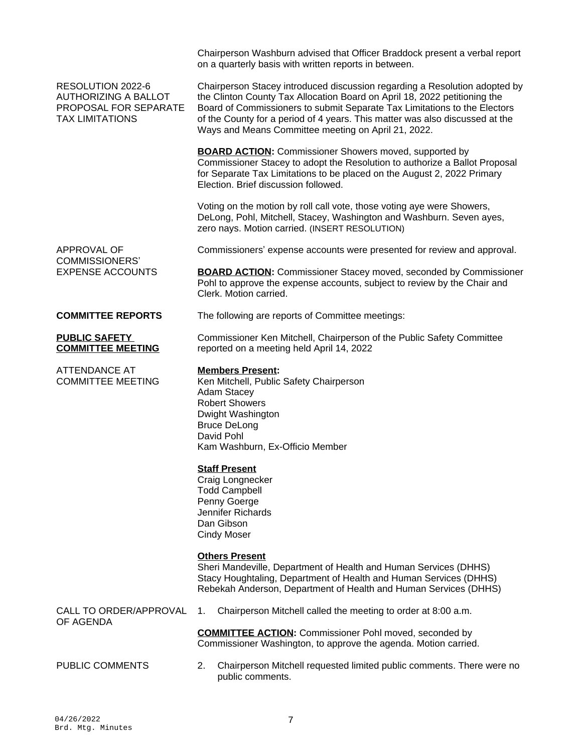## RESOLUTION 2022-6 AUTHORIZING A BALLOT PROPOSAL FOR SEPARATE TAX LIMITATIONS

on a quarterly basis with written reports in between. Chairperson Stacey introduced discussion regarding a Resolution adopted by

Chairperson Washburn advised that Officer Braddock present a verbal report

the Clinton County Tax Allocation Board on April 18, 2022 petitioning the Board of Commissioners to submit Separate Tax Limitations to the Electors of the County for a period of 4 years. This matter was also discussed at the Ways and Means Committee meeting on April 21, 2022.

**BOARD ACTION:** Commissioner Showers moved, supported by Commissioner Stacey to adopt the Resolution to authorize a Ballot Proposal for Separate Tax Limitations to be placed on the August 2, 2022 Primary Election. Brief discussion followed.

Voting on the motion by roll call vote, those voting aye were Showers, DeLong, Pohl, Mitchell, Stacey, Washington and Washburn. Seven ayes, zero nays. Motion carried. (INSERT RESOLUTION)

Commissioners' expense accounts were presented for review and approval.

**BOARD ACTION:** Commissioner Stacey moved, seconded by Commissioner Pohl to approve the expense accounts, subject to review by the Chair and Clerk. Motion carried.

**COMMITTEE REPORTS** The following are reports of Committee meetings:

#### **PUBLIC SAFETY COMMITTEE MEETING**

APPROVAL OF COMMISSIONERS' EXPENSE ACCOUNTS

ATTENDANCE AT COMMITTEE MEETING

Commissioner Ken Mitchell, Chairperson of the Public Safety Committee reported on a meeting held April 14, 2022

## **Members Present:**

Ken Mitchell, Public Safety Chairperson Adam Stacey Robert Showers Dwight Washington Bruce DeLong David Pohl Kam Washburn, Ex-Officio Member

# **Staff Present**

Craig Longnecker Todd Campbell Penny Goerge Jennifer Richards Dan Gibson Cindy Moser

## **Others Present**

Sheri Mandeville, Department of Health and Human Services (DHHS) Stacy Houghtaling, Department of Health and Human Services (DHHS) Rebekah Anderson, Department of Health and Human Services (DHHS)

CALL TO ORDER/APPROVAL OF AGENDA

1. Chairperson Mitchell called the meeting to order at 8:00 a.m.

**COMMITTEE ACTION:** Commissioner Pohl moved, seconded by Commissioner Washington, to approve the agenda. Motion carried.

PUBLIC COMMENTS 2. Chairperson Mitchell requested limited public comments. There were no public comments.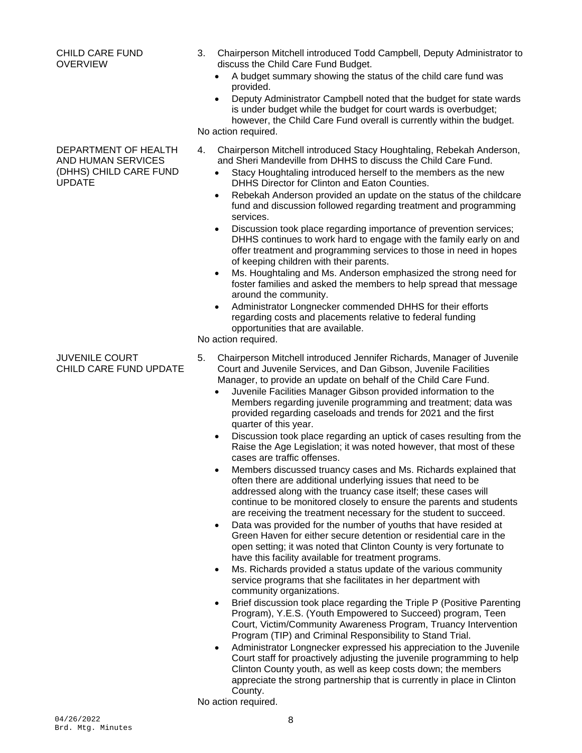#### CHILD CARE FUND OVERVIEW

### DEPARTMENT OF HEALTH AND HUMAN SERVICES (DHHS) CHILD CARE FUND UPDATE

- 3. Chairperson Mitchell introduced Todd Campbell, Deputy Administrator to discuss the Child Care Fund Budget.
	- A budget summary showing the status of the child care fund was provided.
- Deputy Administrator Campbell noted that the budget for state wards is under budget while the budget for court wards is overbudget; however, the Child Care Fund overall is currently within the budget. No action required.
- 4. Chairperson Mitchell introduced Stacy Houghtaling, Rebekah Anderson, and Sheri Mandeville from DHHS to discuss the Child Care Fund.
	- Stacy Houghtaling introduced herself to the members as the new DHHS Director for Clinton and Eaton Counties.
	- Rebekah Anderson provided an update on the status of the childcare fund and discussion followed regarding treatment and programming services.
	- Discussion took place regarding importance of prevention services: DHHS continues to work hard to engage with the family early on and offer treatment and programming services to those in need in hopes of keeping children with their parents.
	- Ms. Houghtaling and Ms. Anderson emphasized the strong need for foster families and asked the members to help spread that message around the community.
	- Administrator Longnecker commended DHHS for their efforts regarding costs and placements relative to federal funding opportunities that are available.

No action required.

- JUVENILE COURT CHILD CARE FUND UPDATE
- 5. Chairperson Mitchell introduced Jennifer Richards, Manager of Juvenile Court and Juvenile Services, and Dan Gibson, Juvenile Facilities Manager, to provide an update on behalf of the Child Care Fund.
	- Juvenile Facilities Manager Gibson provided information to the Members regarding juvenile programming and treatment; data was provided regarding caseloads and trends for 2021 and the first quarter of this year.
	- Discussion took place regarding an uptick of cases resulting from the Raise the Age Legislation; it was noted however, that most of these cases are traffic offenses.
	- Members discussed truancy cases and Ms. Richards explained that often there are additional underlying issues that need to be addressed along with the truancy case itself; these cases will continue to be monitored closely to ensure the parents and students are receiving the treatment necessary for the student to succeed.
	- Data was provided for the number of youths that have resided at Green Haven for either secure detention or residential care in the open setting; it was noted that Clinton County is very fortunate to have this facility available for treatment programs.
	- Ms. Richards provided a status update of the various community service programs that she facilitates in her department with community organizations.
	- Brief discussion took place regarding the Triple P (Positive Parenting Program), Y.E.S. (Youth Empowered to Succeed) program, Teen Court, Victim/Community Awareness Program, Truancy Intervention Program (TIP) and Criminal Responsibility to Stand Trial.
	- Administrator Longnecker expressed his appreciation to the Juvenile Court staff for proactively adjusting the juvenile programming to help Clinton County youth, as well as keep costs down; the members appreciate the strong partnership that is currently in place in Clinton County.

No action required.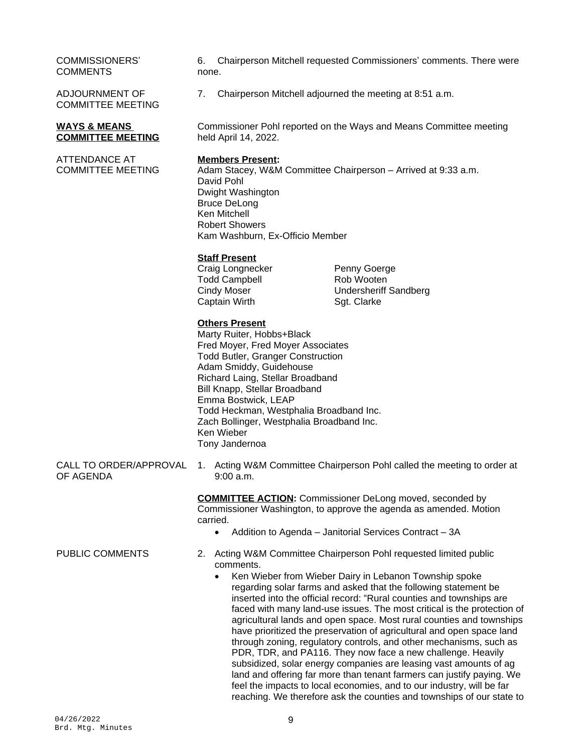#### COMMISSIONERS' **COMMENTS**

ADJOURNMENT OF COMMITTEE MEETING

#### **WAYS & MEANS COMMITTEE MEETING**

ATTENDANCE AT COMMITTEE MEETING 6. Chairperson Mitchell requested Commissioners' comments. There were none.

7. Chairperson Mitchell adjourned the meeting at 8:51 a.m.

Commissioner Pohl reported on the Ways and Means Committee meeting held April 14, 2022.

#### **Members Present:**

Adam Stacey, W&M Committee Chairperson – Arrived at 9:33 a.m. David Pohl Dwight Washington Bruce DeLong Ken Mitchell Robert Showers Kam Washburn, Ex-Officio Member

## **Staff Present**

Craig Longnecker **Penny Goerge**<br>Todd Campbell **Rob** Rob Wooten Todd Campbell Captain Wirth Sqt. Clarke

Cindy Moser Undersheriff Sandberg

## **Others Present**

Marty Ruiter, Hobbs+Black Fred Moyer, Fred Moyer Associates Todd Butler, Granger Construction Adam Smiddy, Guidehouse Richard Laing, Stellar Broadband Bill Knapp, Stellar Broadband Emma Bostwick, LEAP Todd Heckman, Westphalia Broadband Inc. Zach Bollinger, Westphalia Broadband Inc. Ken Wieber Tony Jandernoa

CALL TO ORDER/APPROVAL OF AGENDA

1. Acting W&M Committee Chairperson Pohl called the meeting to order at 9:00 a.m.

> **COMMITTEE ACTION:** Commissioner DeLong moved, seconded by Commissioner Washington, to approve the agenda as amended. Motion carried.

• Addition to Agenda – Janitorial Services Contract – 3A

- PUBLIC COMMENTS 2. Acting W&M Committee Chairperson Pohl requested limited public comments.
	- Ken Wieber from Wieber Dairy in Lebanon Township spoke regarding solar farms and asked that the following statement be inserted into the official record: "Rural counties and townships are faced with many land-use issues. The most critical is the protection of agricultural lands and open space. Most rural counties and townships have prioritized the preservation of agricultural and open space land through zoning, regulatory controls, and other mechanisms, such as PDR, TDR, and PA116. They now face a new challenge. Heavily subsidized, solar energy companies are leasing vast amounts of ag land and offering far more than tenant farmers can justify paying. We feel the impacts to local economies, and to our industry, will be far reaching. We therefore ask the counties and townships of our state to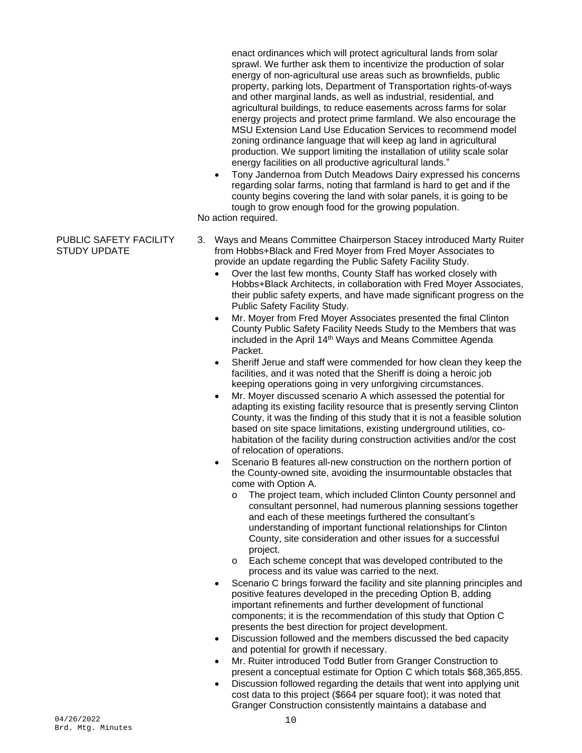enact ordinances which will protect agricultural lands from solar sprawl. We further ask them to incentivize the production of solar energy of non-agricultural use areas such as brownfields, public property, parking lots, Department of Transportation rights-of-ways and other marginal lands, as well as industrial, residential, and agricultural buildings, to reduce easements across farms for solar energy projects and protect prime farmland. We also encourage the MSU Extension Land Use Education Services to recommend model zoning ordinance language that will keep ag land in agricultural production. We support limiting the installation of utility scale solar energy facilities on all productive agricultural lands."

 Tony Jandernoa from Dutch Meadows Dairy expressed his concerns regarding solar farms, noting that farmland is hard to get and if the county begins covering the land with solar panels, it is going to be tough to grow enough food for the growing population.

No action required.

## PUBLIC SAFETY FACILITY STUDY UPDATE

- 3. Ways and Means Committee Chairperson Stacey introduced Marty Ruiter from Hobbs+Black and Fred Moyer from Fred Moyer Associates to provide an update regarding the Public Safety Facility Study.
	- Over the last few months, County Staff has worked closely with Hobbs+Black Architects, in collaboration with Fred Moyer Associates, their public safety experts, and have made significant progress on the Public Safety Facility Study.
	- Mr. Moyer from Fred Moyer Associates presented the final Clinton County Public Safety Facility Needs Study to the Members that was included in the April 14th Ways and Means Committee Agenda Packet.
	- Sheriff Jerue and staff were commended for how clean they keep the facilities, and it was noted that the Sheriff is doing a heroic job keeping operations going in very unforgiving circumstances.
	- Mr. Moyer discussed scenario A which assessed the potential for adapting its existing facility resource that is presently serving Clinton County, it was the finding of this study that it is not a feasible solution based on site space limitations, existing underground utilities, cohabitation of the facility during construction activities and/or the cost of relocation of operations.
	- Scenario B features all-new construction on the northern portion of the County-owned site, avoiding the insurmountable obstacles that come with Option A.
		- o The project team, which included Clinton County personnel and consultant personnel, had numerous planning sessions together and each of these meetings furthered the consultant's understanding of important functional relationships for Clinton County, site consideration and other issues for a successful project.
		- o Each scheme concept that was developed contributed to the process and its value was carried to the next.
	- Scenario C brings forward the facility and site planning principles and positive features developed in the preceding Option B, adding important refinements and further development of functional components; it is the recommendation of this study that Option C presents the best direction for project development.
	- Discussion followed and the members discussed the bed capacity and potential for growth if necessary.
	- Mr. Ruiter introduced Todd Butler from Granger Construction to present a conceptual estimate for Option C which totals \$68,365,855.
	- Discussion followed regarding the details that went into applying unit cost data to this project (\$664 per square foot); it was noted that Granger Construction consistently maintains a database and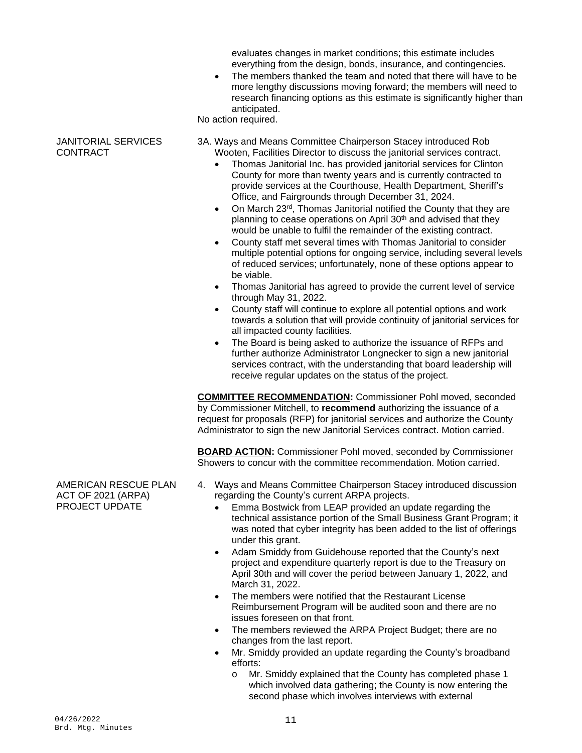evaluates changes in market conditions; this estimate includes everything from the design, bonds, insurance, and contingencies.

• The members thanked the team and noted that there will have to be more lengthy discussions moving forward; the members will need to research financing options as this estimate is significantly higher than anticipated.

No action required.

#### JANITORIAL SERVICES **CONTRACT**

- 3A. Ways and Means Committee Chairperson Stacey introduced Rob Wooten, Facilities Director to discuss the janitorial services contract.
	- Thomas Janitorial Inc. has provided janitorial services for Clinton County for more than twenty years and is currently contracted to provide services at the Courthouse, Health Department, Sheriff's Office, and Fairgrounds through December 31, 2024.
	- On March 23<sup>rd</sup>, Thomas Janitorial notified the County that they are planning to cease operations on April 30<sup>th</sup> and advised that they would be unable to fulfil the remainder of the existing contract.
	- County staff met several times with Thomas Janitorial to consider multiple potential options for ongoing service, including several levels of reduced services; unfortunately, none of these options appear to be viable.
	- Thomas Janitorial has agreed to provide the current level of service through May 31, 2022.
	- County staff will continue to explore all potential options and work towards a solution that will provide continuity of janitorial services for all impacted county facilities.
	- The Board is being asked to authorize the issuance of RFPs and further authorize Administrator Longnecker to sign a new janitorial services contract, with the understanding that board leadership will receive regular updates on the status of the project.

**COMMITTEE RECOMMENDATION:** Commissioner Pohl moved, seconded by Commissioner Mitchell, to **recommend** authorizing the issuance of a request for proposals (RFP) for janitorial services and authorize the County Administrator to sign the new Janitorial Services contract. Motion carried.

**BOARD ACTION:** Commissioner Pohl moved, seconded by Commissioner Showers to concur with the committee recommendation. Motion carried.

- 4. Ways and Means Committee Chairperson Stacey introduced discussion regarding the County's current ARPA projects.
	- Emma Bostwick from LEAP provided an update regarding the technical assistance portion of the Small Business Grant Program; it was noted that cyber integrity has been added to the list of offerings under this grant.
	- Adam Smiddy from Guidehouse reported that the County's next project and expenditure quarterly report is due to the Treasury on April 30th and will cover the period between January 1, 2022, and March 31, 2022.
	- The members were notified that the Restaurant License Reimbursement Program will be audited soon and there are no issues foreseen on that front.
	- The members reviewed the ARPA Project Budget; there are no changes from the last report.
	- Mr. Smiddy provided an update regarding the County's broadband efforts:
		- o Mr. Smiddy explained that the County has completed phase 1 which involved data gathering; the County is now entering the second phase which involves interviews with external

AMERICAN RESCUE PLAN ACT OF 2021 (ARPA) PROJECT UPDATE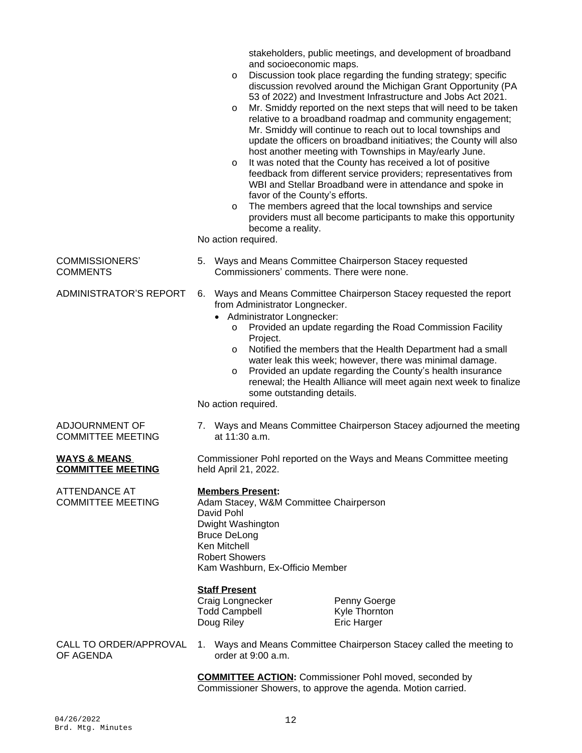|                                           | stakeholders, public meetings, and development of broadband<br>and socioeconomic maps.<br>Discussion took place regarding the funding strategy; specific<br>O<br>discussion revolved around the Michigan Grant Opportunity (PA<br>53 of 2022) and Investment Infrastructure and Jobs Act 2021.<br>Mr. Smiddy reported on the next steps that will need to be taken<br>$\circ$<br>relative to a broadband roadmap and community engagement;<br>Mr. Smiddy will continue to reach out to local townships and<br>update the officers on broadband initiatives; the County will also<br>host another meeting with Townships in May/early June.<br>It was noted that the County has received a lot of positive<br>$\circ$<br>feedback from different service providers; representatives from<br>WBI and Stellar Broadband were in attendance and spoke in<br>favor of the County's efforts.<br>The members agreed that the local townships and service<br>$\circ$<br>providers must all become participants to make this opportunity<br>become a reality.<br>No action required. |
|-------------------------------------------|-----------------------------------------------------------------------------------------------------------------------------------------------------------------------------------------------------------------------------------------------------------------------------------------------------------------------------------------------------------------------------------------------------------------------------------------------------------------------------------------------------------------------------------------------------------------------------------------------------------------------------------------------------------------------------------------------------------------------------------------------------------------------------------------------------------------------------------------------------------------------------------------------------------------------------------------------------------------------------------------------------------------------------------------------------------------------------|
| <b>COMMISSIONERS'</b>                     | 5. Ways and Means Committee Chairperson Stacey requested                                                                                                                                                                                                                                                                                                                                                                                                                                                                                                                                                                                                                                                                                                                                                                                                                                                                                                                                                                                                                    |
| <b>COMMENTS</b>                           | Commissioners' comments. There were none.                                                                                                                                                                                                                                                                                                                                                                                                                                                                                                                                                                                                                                                                                                                                                                                                                                                                                                                                                                                                                                   |
| <b>ADMINISTRATOR'S REPORT</b>             | Ways and Means Committee Chairperson Stacey requested the report<br>6.<br>from Administrator Longnecker.<br>Administrator Longnecker:<br>$\bullet$<br>Provided an update regarding the Road Commission Facility<br>$\circ$<br>Project.<br>Notified the members that the Health Department had a small<br>O<br>water leak this week; however, there was minimal damage.<br>Provided an update regarding the County's health insurance<br>O<br>renewal; the Health Alliance will meet again next week to finalize<br>some outstanding details.<br>No action required.                                                                                                                                                                                                                                                                                                                                                                                                                                                                                                         |
| ADJOURNMENT OF                            | 7. Ways and Means Committee Chairperson Stacey adjourned the meeting                                                                                                                                                                                                                                                                                                                                                                                                                                                                                                                                                                                                                                                                                                                                                                                                                                                                                                                                                                                                        |
| <b>COMMITTEE MEETING</b>                  | at 11:30 a.m.                                                                                                                                                                                                                                                                                                                                                                                                                                                                                                                                                                                                                                                                                                                                                                                                                                                                                                                                                                                                                                                               |
| <u>WAYS &amp; MEANS</u>                   | Commissioner Pohl reported on the Ways and Means Committee meeting                                                                                                                                                                                                                                                                                                                                                                                                                                                                                                                                                                                                                                                                                                                                                                                                                                                                                                                                                                                                          |
| <b>COMMITTEE MEETING</b>                  | held April 21, 2022.                                                                                                                                                                                                                                                                                                                                                                                                                                                                                                                                                                                                                                                                                                                                                                                                                                                                                                                                                                                                                                                        |
| ATTENDANCE AT<br><b>COMMITTEE MEETING</b> | <b>Members Present:</b><br>Adam Stacey, W&M Committee Chairperson<br>David Pohl<br>Dwight Washington<br><b>Bruce DeLong</b><br>Ken Mitchell<br><b>Robert Showers</b><br>Kam Washburn, Ex-Officio Member<br><b>Staff Present</b><br>Craig Longnecker<br>Penny Goerge<br><b>Todd Campbell</b><br>Kyle Thornton<br>Doug Riley<br><b>Eric Harger</b>                                                                                                                                                                                                                                                                                                                                                                                                                                                                                                                                                                                                                                                                                                                            |
| CALL TO ORDER/APPROVAL                    | 1. Ways and Means Committee Chairperson Stacey called the meeting to                                                                                                                                                                                                                                                                                                                                                                                                                                                                                                                                                                                                                                                                                                                                                                                                                                                                                                                                                                                                        |
| OF AGENDA                                 | order at $9:00$ a.m.                                                                                                                                                                                                                                                                                                                                                                                                                                                                                                                                                                                                                                                                                                                                                                                                                                                                                                                                                                                                                                                        |
|                                           | <b>COMMITTEE ACTION:</b> Commissioner Pohl moved, seconded by<br>Commissioner Showers, to approve the agenda. Motion carried.                                                                                                                                                                                                                                                                                                                                                                                                                                                                                                                                                                                                                                                                                                                                                                                                                                                                                                                                               |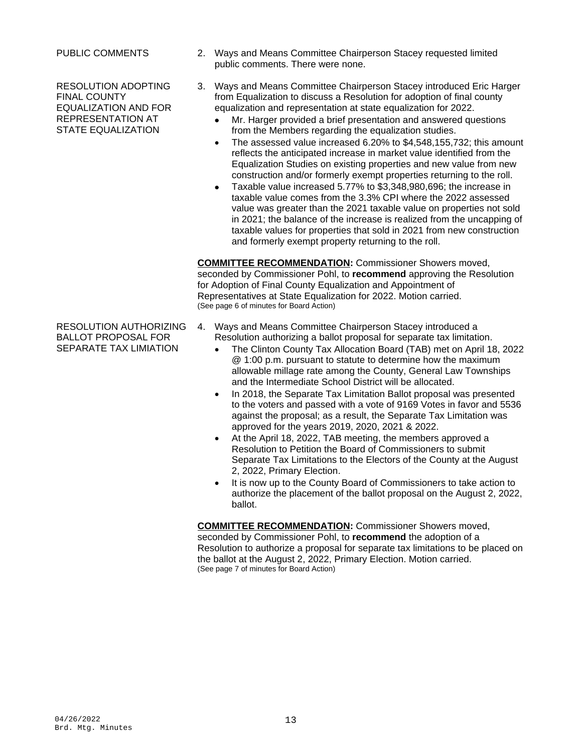RESOLUTION ADOPTING FINAL COUNTY EQUALIZATION AND FOR REPRESENTATION AT STATE EQUALIZATION

RESOLUTION AUTHORIZING BALLOT PROPOSAL FOR SEPARATE TAX LIMIATION

- PUBLIC COMMENTS 2. Ways and Means Committee Chairperson Stacey requested limited public comments. There were none.
	- 3. Ways and Means Committee Chairperson Stacey introduced Eric Harger from Equalization to discuss a Resolution for adoption of final county equalization and representation at state equalization for 2022.
		- Mr. Harger provided a brief presentation and answered questions from the Members regarding the equalization studies.
		- The assessed value increased 6.20% to \$4,548,155,732; this amount reflects the anticipated increase in market value identified from the Equalization Studies on existing properties and new value from new construction and/or formerly exempt properties returning to the roll.
		- Taxable value increased 5.77% to \$3,348,980,696; the increase in taxable value comes from the 3.3% CPI where the 2022 assessed value was greater than the 2021 taxable value on properties not sold in 2021; the balance of the increase is realized from the uncapping of taxable values for properties that sold in 2021 from new construction and formerly exempt property returning to the roll.

**COMMITTEE RECOMMENDATION:** Commissioner Showers moved, seconded by Commissioner Pohl, to **recommend** approving the Resolution for Adoption of Final County Equalization and Appointment of Representatives at State Equalization for 2022. Motion carried. (See page 6 of minutes for Board Action)

- 4. Ways and Means Committee Chairperson Stacey introduced a Resolution authorizing a ballot proposal for separate tax limitation.
	- The Clinton County Tax Allocation Board (TAB) met on April 18, 2022 @ 1:00 p.m. pursuant to statute to determine how the maximum allowable millage rate among the County, General Law Townships and the Intermediate School District will be allocated.
	- In 2018, the Separate Tax Limitation Ballot proposal was presented to the voters and passed with a vote of 9169 Votes in favor and 5536 against the proposal; as a result, the Separate Tax Limitation was approved for the years 2019, 2020, 2021 & 2022.
	- At the April 18, 2022, TAB meeting, the members approved a Resolution to Petition the Board of Commissioners to submit Separate Tax Limitations to the Electors of the County at the August 2, 2022, Primary Election.
	- It is now up to the County Board of Commissioners to take action to authorize the placement of the ballot proposal on the August 2, 2022, ballot.

**COMMITTEE RECOMMENDATION:** Commissioner Showers moved, seconded by Commissioner Pohl, to **recommend** the adoption of a Resolution to authorize a proposal for separate tax limitations to be placed on the ballot at the August 2, 2022, Primary Election. Motion carried. (See page 7 of minutes for Board Action)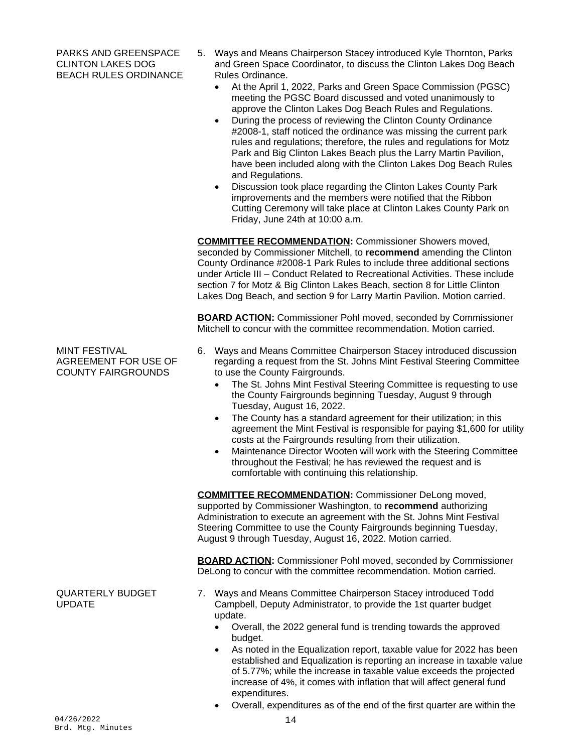PARKS AND GREENSPACE CLINTON LAKES DOG BEACH RULES ORDINANCE

- 5. Ways and Means Chairperson Stacey introduced Kyle Thornton, Parks and Green Space Coordinator, to discuss the Clinton Lakes Dog Beach Rules Ordinance.
	- At the April 1, 2022, Parks and Green Space Commission (PGSC) meeting the PGSC Board discussed and voted unanimously to approve the Clinton Lakes Dog Beach Rules and Regulations.
	- During the process of reviewing the Clinton County Ordinance #2008-1, staff noticed the ordinance was missing the current park rules and regulations; therefore, the rules and regulations for Motz Park and Big Clinton Lakes Beach plus the Larry Martin Pavilion, have been included along with the Clinton Lakes Dog Beach Rules and Regulations.
	- Discussion took place regarding the Clinton Lakes County Park improvements and the members were notified that the Ribbon Cutting Ceremony will take place at Clinton Lakes County Park on Friday, June 24th at 10:00 a.m.

**COMMITTEE RECOMMENDATION:** Commissioner Showers moved, seconded by Commissioner Mitchell, to **recommend** amending the Clinton County Ordinance #2008-1 Park Rules to include three additional sections under Article III – Conduct Related to Recreational Activities. These include section 7 for Motz & Big Clinton Lakes Beach, section 8 for Little Clinton Lakes Dog Beach, and section 9 for Larry Martin Pavilion. Motion carried.

**BOARD ACTION:** Commissioner Pohl moved, seconded by Commissioner Mitchell to concur with the committee recommendation. Motion carried.

- 6. Ways and Means Committee Chairperson Stacey introduced discussion regarding a request from the St. Johns Mint Festival Steering Committee to use the County Fairgrounds.
	- The St. Johns Mint Festival Steering Committee is requesting to use the County Fairgrounds beginning Tuesday, August 9 through Tuesday, August 16, 2022.
	- The County has a standard agreement for their utilization; in this agreement the Mint Festival is responsible for paying \$1,600 for utility costs at the Fairgrounds resulting from their utilization.
	- Maintenance Director Wooten will work with the Steering Committee throughout the Festival; he has reviewed the request and is comfortable with continuing this relationship.

**COMMITTEE RECOMMENDATION:** Commissioner DeLong moved, supported by Commissioner Washington, to **recommend** authorizing Administration to execute an agreement with the St. Johns Mint Festival Steering Committee to use the County Fairgrounds beginning Tuesday, August 9 through Tuesday, August 16, 2022. Motion carried.

**BOARD ACTION:** Commissioner Pohl moved, seconded by Commissioner DeLong to concur with the committee recommendation. Motion carried.

- 7. Ways and Means Committee Chairperson Stacey introduced Todd Campbell, Deputy Administrator, to provide the 1st quarter budget update.
	- Overall, the 2022 general fund is trending towards the approved budget.
	- As noted in the Equalization report, taxable value for 2022 has been established and Equalization is reporting an increase in taxable value of 5.77%; while the increase in taxable value exceeds the projected increase of 4%, it comes with inflation that will affect general fund expenditures.
	- Overall, expenditures as of the end of the first quarter are within the

MINT FESTIVAL AGREEMENT FOR USE OF COUNTY FAIRGROUNDS

QUARTERLY BUDGET UPDATE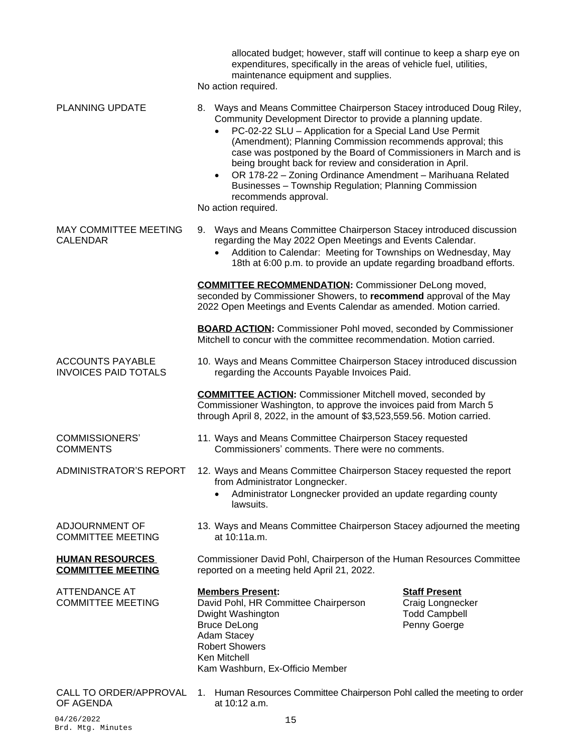|                                                        | allocated budget; however, staff will continue to keep a sharp eye on<br>expenditures, specifically in the areas of vehicle fuel, utilities,<br>maintenance equipment and supplies.<br>No action required.                                                                                                                                                                                                                                                                                                                                                             |
|--------------------------------------------------------|------------------------------------------------------------------------------------------------------------------------------------------------------------------------------------------------------------------------------------------------------------------------------------------------------------------------------------------------------------------------------------------------------------------------------------------------------------------------------------------------------------------------------------------------------------------------|
| <b>PLANNING UPDATE</b>                                 | 8. Ways and Means Committee Chairperson Stacey introduced Doug Riley,<br>Community Development Director to provide a planning update.<br>PC-02-22 SLU - Application for a Special Land Use Permit<br>(Amendment); Planning Commission recommends approval; this<br>case was postponed by the Board of Commissioners in March and is<br>being brought back for review and consideration in April.<br>OR 178-22 - Zoning Ordinance Amendment - Marihuana Related<br>Businesses - Township Regulation; Planning Commission<br>recommends approval.<br>No action required. |
| MAY COMMITTEE MEETING<br><b>CALENDAR</b>               | Ways and Means Committee Chairperson Stacey introduced discussion<br>9.<br>regarding the May 2022 Open Meetings and Events Calendar.<br>Addition to Calendar: Meeting for Townships on Wednesday, May<br>18th at 6:00 p.m. to provide an update regarding broadband efforts.                                                                                                                                                                                                                                                                                           |
|                                                        | <b>COMMITTEE RECOMMENDATION:</b> Commissioner DeLong moved,<br>seconded by Commissioner Showers, to recommend approval of the May<br>2022 Open Meetings and Events Calendar as amended. Motion carried.                                                                                                                                                                                                                                                                                                                                                                |
|                                                        | <b>BOARD ACTION:</b> Commissioner Pohl moved, seconded by Commissioner<br>Mitchell to concur with the committee recommendation. Motion carried.                                                                                                                                                                                                                                                                                                                                                                                                                        |
| <b>ACCOUNTS PAYABLE</b><br><b>INVOICES PAID TOTALS</b> | 10. Ways and Means Committee Chairperson Stacey introduced discussion<br>regarding the Accounts Payable Invoices Paid.                                                                                                                                                                                                                                                                                                                                                                                                                                                 |
|                                                        | <b>COMMITTEE ACTION:</b> Commissioner Mitchell moved, seconded by<br>Commissioner Washington, to approve the invoices paid from March 5<br>through April 8, 2022, in the amount of \$3,523,559.56. Motion carried.                                                                                                                                                                                                                                                                                                                                                     |
| <b>COMMISSIONERS'</b><br><b>COMMENTS</b>               | 11. Ways and Means Committee Chairperson Stacey requested<br>Commissioners' comments. There were no comments.                                                                                                                                                                                                                                                                                                                                                                                                                                                          |
| ADMINISTRATOR'S REPORT                                 | 12. Ways and Means Committee Chairperson Stacey requested the report                                                                                                                                                                                                                                                                                                                                                                                                                                                                                                   |
|                                                        | from Administrator Longnecker.<br>Administrator Longnecker provided an update regarding county<br>lawsuits.                                                                                                                                                                                                                                                                                                                                                                                                                                                            |
| ADJOURNMENT OF<br><b>COMMITTEE MEETING</b>             | 13. Ways and Means Committee Chairperson Stacey adjourned the meeting<br>at 10:11a.m.                                                                                                                                                                                                                                                                                                                                                                                                                                                                                  |
| <b>HUMAN RESOURCES</b><br><b>COMMITTEE MEETING</b>     | Commissioner David Pohl, Chairperson of the Human Resources Committee<br>reported on a meeting held April 21, 2022.                                                                                                                                                                                                                                                                                                                                                                                                                                                    |
| <b>ATTENDANCE AT</b><br><b>COMMITTEE MEETING</b>       | <b>Members Present:</b><br><b>Staff Present</b><br>David Pohl, HR Committee Chairperson<br>Craig Longnecker<br>Dwight Washington<br><b>Todd Campbell</b><br>Penny Goerge<br><b>Bruce DeLong</b><br><b>Adam Stacey</b><br><b>Robert Showers</b><br>Ken Mitchell<br>Kam Washburn, Ex-Officio Member                                                                                                                                                                                                                                                                      |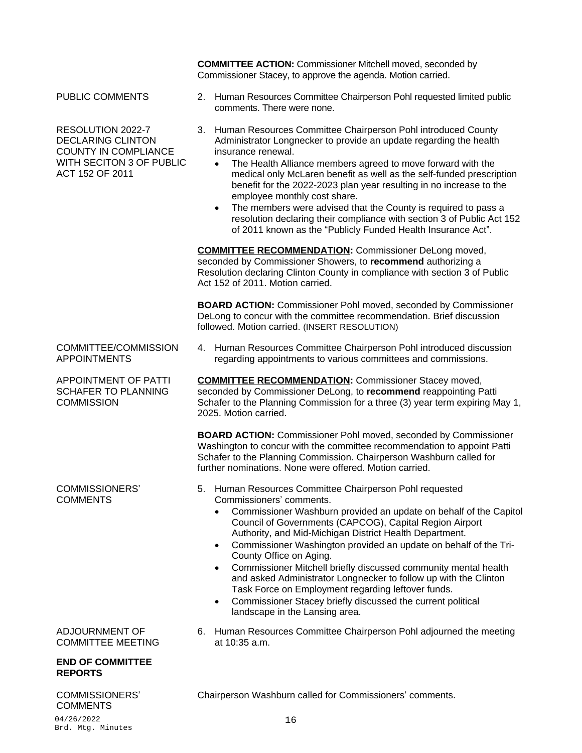**COMMITTEE ACTION:** Commissioner Mitchell moved, seconded by Commissioner Stacey, to approve the agenda. Motion carried.

RESOLUTION 2022-7 DECLARING CLINTON COUNTY IN COMPLIANCE WITH SECITON 3 OF PUBLIC ACT 152 OF 2011

COMMITTEE/COMMISSION APPOINTMENTS

APPOINTMENT OF PATTI SCHAFER TO PLANNING **COMMISSION** 

COMMISSIONERS' **COMMENTS** 

#### ADJOURNMENT OF COMMITTEE MEETING

#### **END OF COMMITTEE REPORTS**

#### COMMISSIONERS' **COMMENTS**

- PUBLIC COMMENTS 2. Human Resources Committee Chairperson Pohl requested limited public comments. There were none.
	- 3. Human Resources Committee Chairperson Pohl introduced County Administrator Longnecker to provide an update regarding the health insurance renewal.
		- The Health Alliance members agreed to move forward with the medical only McLaren benefit as well as the self-funded prescription benefit for the 2022-2023 plan year resulting in no increase to the employee monthly cost share.
		- The members were advised that the County is required to pass a resolution declaring their compliance with section 3 of Public Act 152 of 2011 known as the "Publicly Funded Health Insurance Act".

**COMMITTEE RECOMMENDATION:** Commissioner DeLong moved, seconded by Commissioner Showers, to **recommend** authorizing a Resolution declaring Clinton County in compliance with section 3 of Public Act 152 of 2011. Motion carried.

**BOARD ACTION:** Commissioner Pohl moved, seconded by Commissioner DeLong to concur with the committee recommendation. Brief discussion followed. Motion carried. (INSERT RESOLUTION)

4. Human Resources Committee Chairperson Pohl introduced discussion regarding appointments to various committees and commissions.

**COMMITTEE RECOMMENDATION:** Commissioner Stacey moved, seconded by Commissioner DeLong, to **recommend** reappointing Patti Schafer to the Planning Commission for a three (3) year term expiring May 1, 2025. Motion carried.

**BOARD ACTION:** Commissioner Pohl moved, seconded by Commissioner Washington to concur with the committee recommendation to appoint Patti Schafer to the Planning Commission. Chairperson Washburn called for further nominations. None were offered. Motion carried.

- 5. Human Resources Committee Chairperson Pohl requested Commissioners' comments.
	- Commissioner Washburn provided an update on behalf of the Capitol Council of Governments (CAPCOG), Capital Region Airport Authority, and Mid-Michigan District Health Department.
	- Commissioner Washington provided an update on behalf of the Tri-County Office on Aging.
	- Commissioner Mitchell briefly discussed community mental health and asked Administrator Longnecker to follow up with the Clinton Task Force on Employment regarding leftover funds.
	- Commissioner Stacey briefly discussed the current political landscape in the Lansing area.
- 6. Human Resources Committee Chairperson Pohl adjourned the meeting at 10:35 a.m.

Chairperson Washburn called for Commissioners' comments.